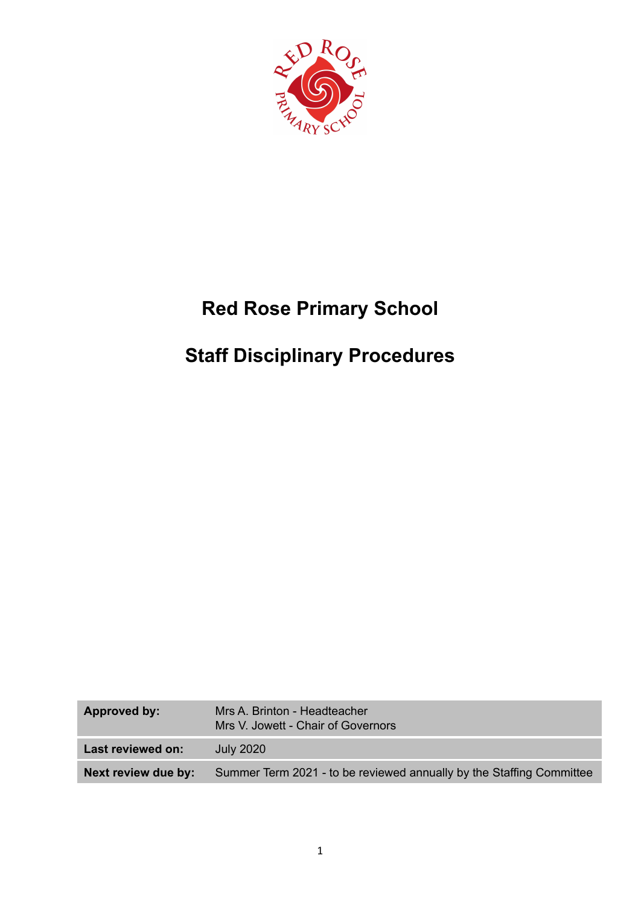

# **Red Rose Primary School**

# **Staff Disciplinary Procedures**

| Approved by:        | Mrs A. Brinton - Headteacher<br>Mrs V. Jowett - Chair of Governors   |
|---------------------|----------------------------------------------------------------------|
| Last reviewed on:   | July 2020                                                            |
| Next review due by: | Summer Term 2021 - to be reviewed annually by the Staffing Committee |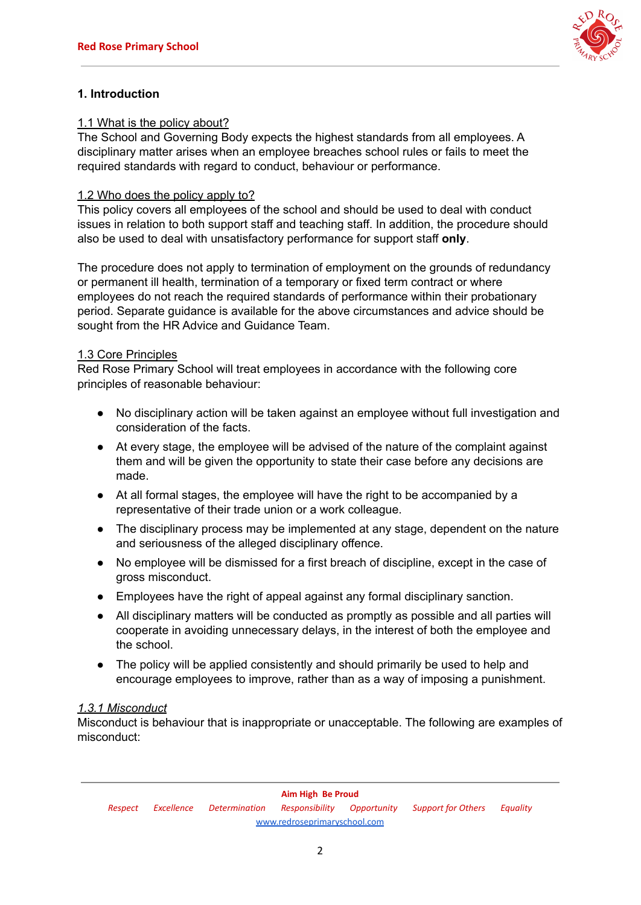

# **1. Introduction**

## 1.1 What is the policy about?

The School and Governing Body expects the highest standards from all employees. A disciplinary matter arises when an employee breaches school rules or fails to meet the required standards with regard to conduct, behaviour or performance.

#### 1.2 Who does the policy apply to?

This policy covers all employees of the school and should be used to deal with conduct issues in relation to both support staff and teaching staff. In addition, the procedure should also be used to deal with unsatisfactory performance for support staff **only**.

The procedure does not apply to termination of employment on the grounds of redundancy or permanent ill health, termination of a temporary or fixed term contract or where employees do not reach the required standards of performance within their probationary period. Separate guidance is available for the above circumstances and advice should be sought from the HR Advice and Guidance Team.

#### 1.3 Core Principles

Red Rose Primary School will treat employees in accordance with the following core principles of reasonable behaviour:

- No disciplinary action will be taken against an employee without full investigation and consideration of the facts.
- At every stage, the employee will be advised of the nature of the complaint against them and will be given the opportunity to state their case before any decisions are made.
- At all formal stages, the employee will have the right to be accompanied by a representative of their trade union or a work colleague.
- The disciplinary process may be implemented at any stage, dependent on the nature and seriousness of the alleged disciplinary offence.
- No employee will be dismissed for a first breach of discipline, except in the case of gross misconduct.
- Employees have the right of appeal against any formal disciplinary sanction.
- All disciplinary matters will be conducted as promptly as possible and all parties will cooperate in avoiding unnecessary delays, in the interest of both the employee and the school.
- The policy will be applied consistently and should primarily be used to help and encourage employees to improve, rather than as a way of imposing a punishment.

## *1.3.1 Misconduct*

Misconduct is behaviour that is inappropriate or unacceptable. The following are examples of misconduct: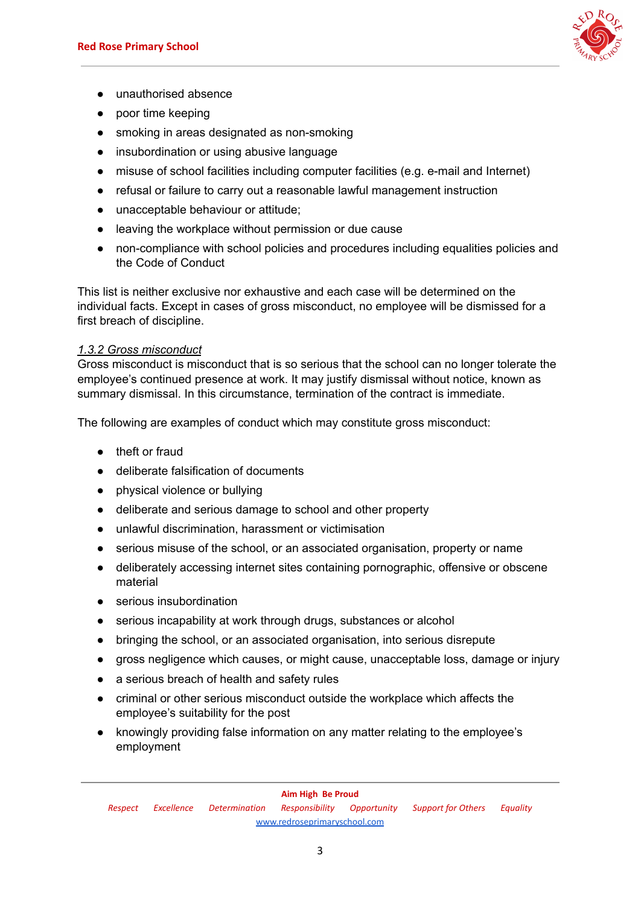

- unauthorised absence
- poor time keeping
- smoking in areas designated as non-smoking
- insubordination or using abusive language
- misuse of school facilities including computer facilities (e.g. e-mail and Internet)
- refusal or failure to carry out a reasonable lawful management instruction
- unacceptable behaviour or attitude;
- leaving the workplace without permission or due cause
- non-compliance with school policies and procedures including equalities policies and the Code of Conduct

This list is neither exclusive nor exhaustive and each case will be determined on the individual facts. Except in cases of gross misconduct, no employee will be dismissed for a first breach of discipline.

#### *1.3.2 Gross misconduct*

Gross misconduct is misconduct that is so serious that the school can no longer tolerate the employee's continued presence at work. It may justify dismissal without notice, known as summary dismissal. In this circumstance, termination of the contract is immediate.

The following are examples of conduct which may constitute gross misconduct:

- theft or fraud
- deliberate falsification of documents
- physical violence or bullying
- deliberate and serious damage to school and other property
- unlawful discrimination, harassment or victimisation
- serious misuse of the school, or an associated organisation, property or name
- deliberately accessing internet sites containing pornographic, offensive or obscene material
- serious insubordination
- serious incapability at work through drugs, substances or alcohol
- bringing the school, or an associated organisation, into serious disrepute
- gross negligence which causes, or might cause, unacceptable loss, damage or injury
- a serious breach of health and safety rules
- criminal or other serious misconduct outside the workplace which affects the employee's suitability for the post
- knowingly providing false information on any matter relating to the employee's employment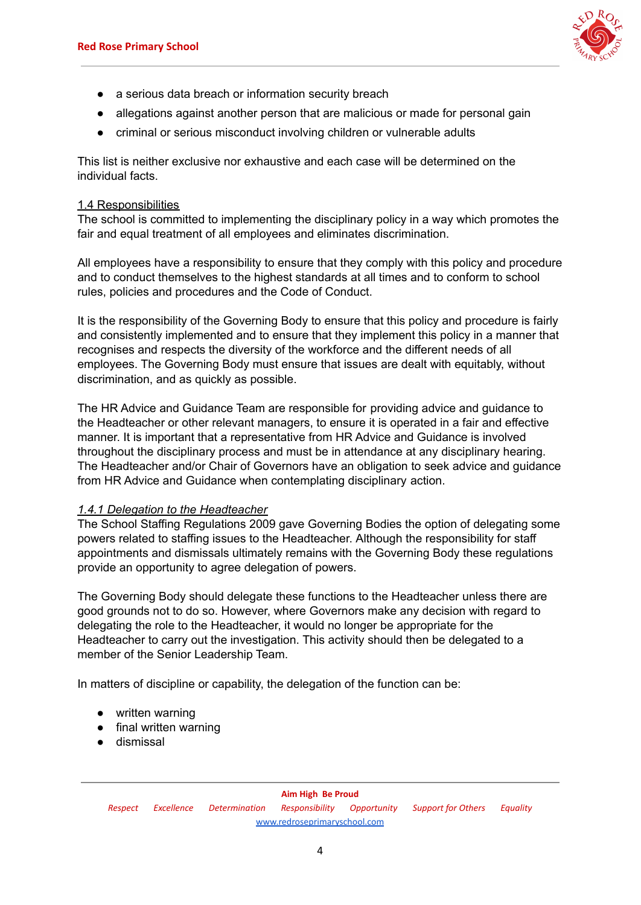

- a serious data breach or information security breach
- allegations against another person that are malicious or made for personal gain
- criminal or serious misconduct involving children or vulnerable adults

This list is neither exclusive nor exhaustive and each case will be determined on the individual facts.

#### 1.4 Responsibilities

The school is committed to implementing the disciplinary policy in a way which promotes the fair and equal treatment of all employees and eliminates discrimination.

All employees have a responsibility to ensure that they comply with this policy and procedure and to conduct themselves to the highest standards at all times and to conform to school rules, policies and procedures and the Code of Conduct.

It is the responsibility of the Governing Body to ensure that this policy and procedure is fairly and consistently implemented and to ensure that they implement this policy in a manner that recognises and respects the diversity of the workforce and the different needs of all employees. The Governing Body must ensure that issues are dealt with equitably, without discrimination, and as quickly as possible.

The HR Advice and Guidance Team are responsible for providing advice and guidance to the Headteacher or other relevant managers, to ensure it is operated in a fair and effective manner. It is important that a representative from HR Advice and Guidance is involved throughout the disciplinary process and must be in attendance at any disciplinary hearing. The Headteacher and/or Chair of Governors have an obligation to seek advice and guidance from HR Advice and Guidance when contemplating disciplinary action.

## *1.4.1 Delegation to the Headteacher*

The School Staffing Regulations 2009 gave Governing Bodies the option of delegating some powers related to staffing issues to the Headteacher. Although the responsibility for staff appointments and dismissals ultimately remains with the Governing Body these regulations provide an opportunity to agree delegation of powers.

The Governing Body should delegate these functions to the Headteacher unless there are good grounds not to do so. However, where Governors make any decision with regard to delegating the role to the Headteacher, it would no longer be appropriate for the Headteacher to carry out the investigation. This activity should then be delegated to a member of the Senior Leadership Team.

In matters of discipline or capability, the delegation of the function can be:

- written warning
- final written warning
- dismissal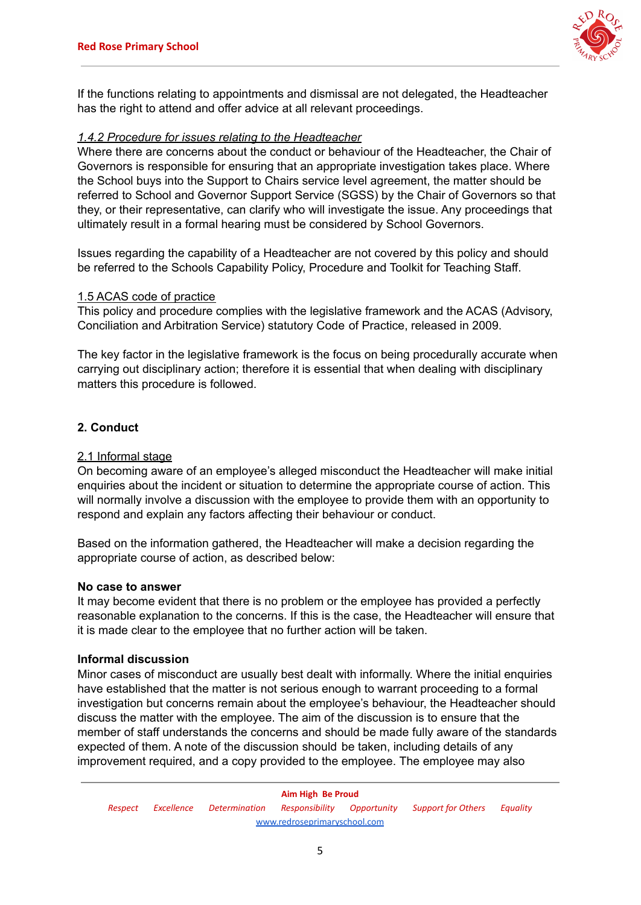

If the functions relating to appointments and dismissal are not delegated, the Headteacher has the right to attend and offer advice at all relevant proceedings.

#### *1.4.2 Procedure for issues relating to the Headteacher*

Where there are concerns about the conduct or behaviour of the Headteacher, the Chair of Governors is responsible for ensuring that an appropriate investigation takes place. Where the School buys into the Support to Chairs service level agreement, the matter should be referred to School and Governor Support Service (SGSS) by the Chair of Governors so that they, or their representative, can clarify who will investigate the issue. Any proceedings that ultimately result in a formal hearing must be considered by School Governors.

Issues regarding the capability of a Headteacher are not covered by this policy and should be referred to the Schools Capability Policy, Procedure and Toolkit for Teaching Staff.

#### 1.5 ACAS code of practice

This policy and procedure complies with the legislative framework and the ACAS (Advisory, Conciliation and Arbitration Service) statutory Code of Practice, released in 2009.

The key factor in the legislative framework is the focus on being procedurally accurate when carrying out disciplinary action; therefore it is essential that when dealing with disciplinary matters this procedure is followed.

## **2. Conduct**

#### 2.1 Informal stage

On becoming aware of an employee's alleged misconduct the Headteacher will make initial enquiries about the incident or situation to determine the appropriate course of action. This will normally involve a discussion with the employee to provide them with an opportunity to respond and explain any factors affecting their behaviour or conduct.

Based on the information gathered, the Headteacher will make a decision regarding the appropriate course of action, as described below:

#### **No case to answer**

It may become evident that there is no problem or the employee has provided a perfectly reasonable explanation to the concerns. If this is the case, the Headteacher will ensure that it is made clear to the employee that no further action will be taken.

#### **Informal discussion**

Minor cases of misconduct are usually best dealt with informally. Where the initial enquiries have established that the matter is not serious enough to warrant proceeding to a formal investigation but concerns remain about the employee's behaviour, the Headteacher should discuss the matter with the employee. The aim of the discussion is to ensure that the member of staff understands the concerns and should be made fully aware of the standards expected of them. A note of the discussion should be taken, including details of any improvement required, and a copy provided to the employee. The employee may also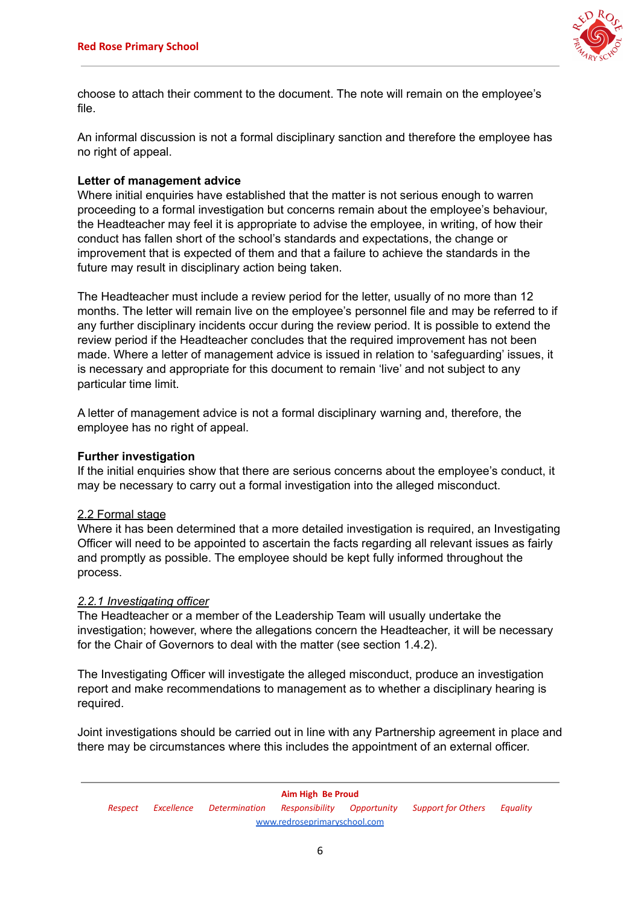

choose to attach their comment to the document. The note will remain on the employee's file.

An informal discussion is not a formal disciplinary sanction and therefore the employee has no right of appeal.

#### **Letter of management advice**

Where initial enquiries have established that the matter is not serious enough to warren proceeding to a formal investigation but concerns remain about the employee's behaviour, the Headteacher may feel it is appropriate to advise the employee, in writing, of how their conduct has fallen short of the school's standards and expectations, the change or improvement that is expected of them and that a failure to achieve the standards in the future may result in disciplinary action being taken.

The Headteacher must include a review period for the letter, usually of no more than 12 months. The letter will remain live on the employee's personnel file and may be referred to if any further disciplinary incidents occur during the review period. It is possible to extend the review period if the Headteacher concludes that the required improvement has not been made. Where a letter of management advice is issued in relation to 'safeguarding' issues, it is necessary and appropriate for this document to remain 'live' and not subject to any particular time limit.

A letter of management advice is not a formal disciplinary warning and, therefore, the employee has no right of appeal.

#### **Further investigation**

If the initial enquiries show that there are serious concerns about the employee's conduct, it may be necessary to carry out a formal investigation into the alleged misconduct.

## 2.2 Formal stage

Where it has been determined that a more detailed investigation is required, an Investigating Officer will need to be appointed to ascertain the facts regarding all relevant issues as fairly and promptly as possible. The employee should be kept fully informed throughout the process.

#### *2.2.1 Investigating officer*

The Headteacher or a member of the Leadership Team will usually undertake the investigation; however, where the allegations concern the Headteacher, it will be necessary for the Chair of Governors to deal with the matter (see section 1.4.2).

The Investigating Officer will investigate the alleged misconduct, produce an investigation report and make recommendations to management as to whether a disciplinary hearing is required.

Joint investigations should be carried out in line with any Partnership agreement in place and there may be circumstances where this includes the appointment of an external officer.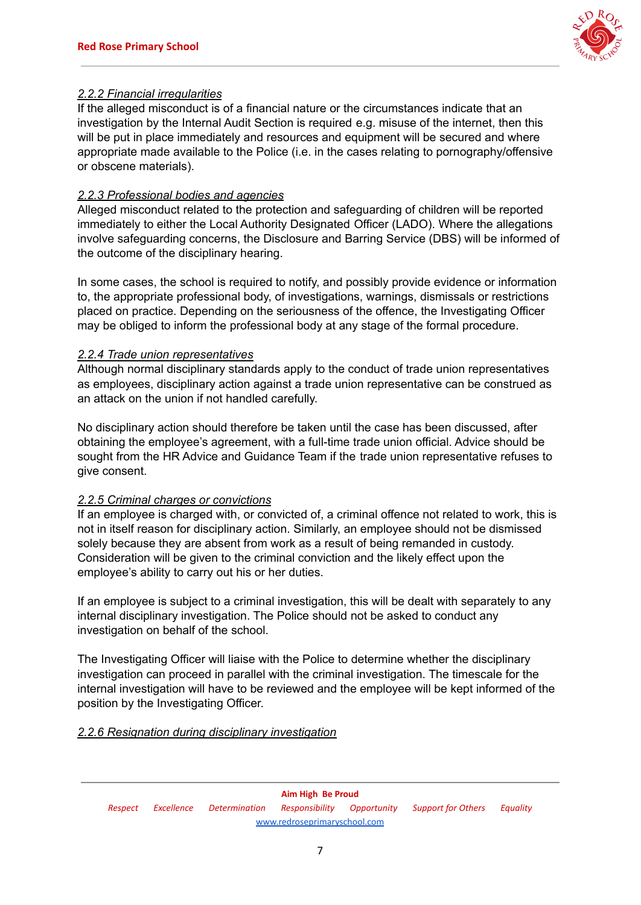

## *2.2.2 Financial irregularities*

If the alleged misconduct is of a financial nature or the circumstances indicate that an investigation by the Internal Audit Section is required e.g. misuse of the internet, then this will be put in place immediately and resources and equipment will be secured and where appropriate made available to the Police (i.e. in the cases relating to pornography/offensive or obscene materials).

## *2.2.3 Professional bodies and agencies*

Alleged misconduct related to the protection and safeguarding of children will be reported immediately to either the Local Authority Designated Officer (LADO). Where the allegations involve safeguarding concerns, the Disclosure and Barring Service (DBS) will be informed of the outcome of the disciplinary hearing.

In some cases, the school is required to notify, and possibly provide evidence or information to, the appropriate professional body, of investigations, warnings, dismissals or restrictions placed on practice. Depending on the seriousness of the offence, the Investigating Officer may be obliged to inform the professional body at any stage of the formal procedure.

## *2.2.4 Trade union representatives*

Although normal disciplinary standards apply to the conduct of trade union representatives as employees, disciplinary action against a trade union representative can be construed as an attack on the union if not handled carefully.

No disciplinary action should therefore be taken until the case has been discussed, after obtaining the employee's agreement, with a full-time trade union official. Advice should be sought from the HR Advice and Guidance Team if the trade union representative refuses to give consent.

## *2.2.5 Criminal charges or convictions*

If an employee is charged with, or convicted of, a criminal offence not related to work, this is not in itself reason for disciplinary action. Similarly, an employee should not be dismissed solely because they are absent from work as a result of being remanded in custody. Consideration will be given to the criminal conviction and the likely effect upon the employee's ability to carry out his or her duties.

If an employee is subject to a criminal investigation, this will be dealt with separately to any internal disciplinary investigation. The Police should not be asked to conduct any investigation on behalf of the school.

The Investigating Officer will liaise with the Police to determine whether the disciplinary investigation can proceed in parallel with the criminal investigation. The timescale for the internal investigation will have to be reviewed and the employee will be kept informed of the position by the Investigating Officer.

# *2.2.6 Resignation during disciplinary investigation*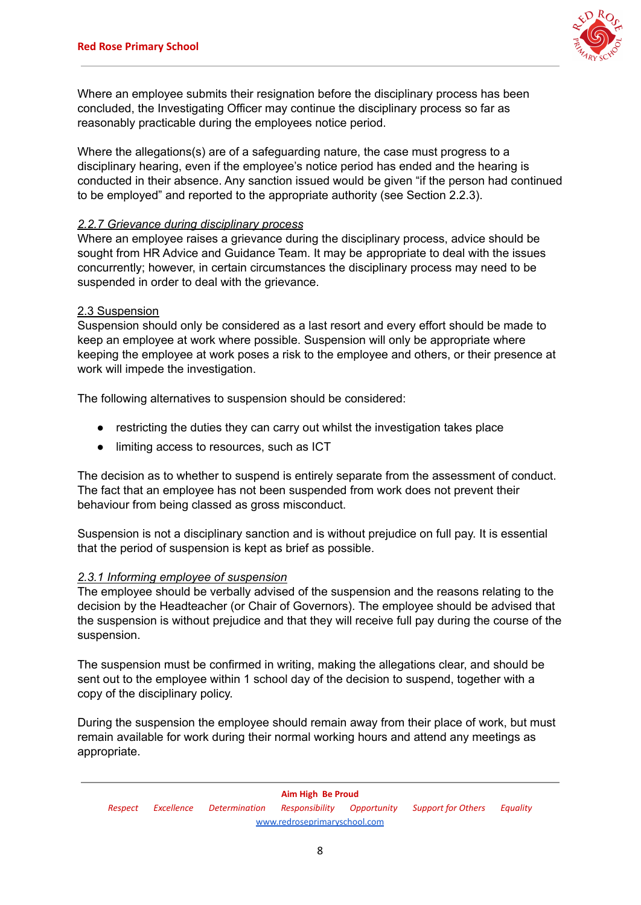

Where an employee submits their resignation before the disciplinary process has been concluded, the Investigating Officer may continue the disciplinary process so far as reasonably practicable during the employees notice period.

Where the allegations(s) are of a safeguarding nature, the case must progress to a disciplinary hearing, even if the employee's notice period has ended and the hearing is conducted in their absence. Any sanction issued would be given "if the person had continued to be employed" and reported to the appropriate authority (see Section 2.2.3).

## *2.2.7 Grievance during disciplinary process*

Where an employee raises a grievance during the disciplinary process, advice should be sought from HR Advice and Guidance Team. It may be appropriate to deal with the issues concurrently; however, in certain circumstances the disciplinary process may need to be suspended in order to deal with the grievance.

#### 2.3 Suspension

Suspension should only be considered as a last resort and every effort should be made to keep an employee at work where possible. Suspension will only be appropriate where keeping the employee at work poses a risk to the employee and others, or their presence at work will impede the investigation.

The following alternatives to suspension should be considered:

- restricting the duties they can carry out whilst the investigation takes place
- limiting access to resources, such as ICT

The decision as to whether to suspend is entirely separate from the assessment of conduct. The fact that an employee has not been suspended from work does not prevent their behaviour from being classed as gross misconduct.

Suspension is not a disciplinary sanction and is without prejudice on full pay. It is essential that the period of suspension is kept as brief as possible.

## *2.3.1 Informing employee of suspension*

The employee should be verbally advised of the suspension and the reasons relating to the decision by the Headteacher (or Chair of Governors). The employee should be advised that the suspension is without prejudice and that they will receive full pay during the course of the suspension.

The suspension must be confirmed in writing, making the allegations clear, and should be sent out to the employee within 1 school day of the decision to suspend, together with a copy of the disciplinary policy.

During the suspension the employee should remain away from their place of work, but must remain available for work during their normal working hours and attend any meetings as appropriate.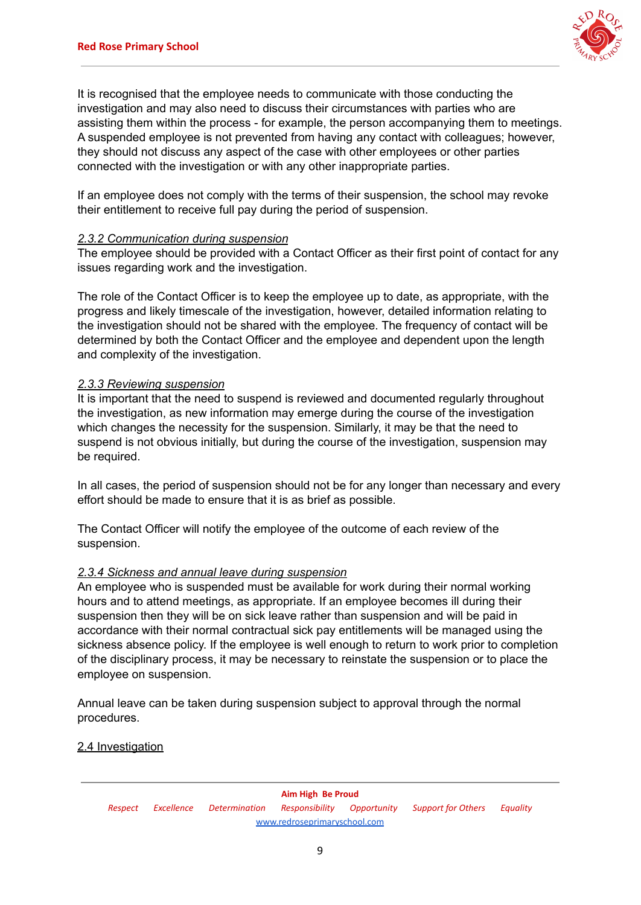

It is recognised that the employee needs to communicate with those conducting the investigation and may also need to discuss their circumstances with parties who are assisting them within the process - for example, the person accompanying them to meetings. A suspended employee is not prevented from having any contact with colleagues; however, they should not discuss any aspect of the case with other employees or other parties connected with the investigation or with any other inappropriate parties.

If an employee does not comply with the terms of their suspension, the school may revoke their entitlement to receive full pay during the period of suspension.

## *2.3.2 Communication during suspension*

The employee should be provided with a Contact Officer as their first point of contact for any issues regarding work and the investigation.

The role of the Contact Officer is to keep the employee up to date, as appropriate, with the progress and likely timescale of the investigation, however, detailed information relating to the investigation should not be shared with the employee. The frequency of contact will be determined by both the Contact Officer and the employee and dependent upon the length and complexity of the investigation.

#### *2.3.3 Reviewing suspension*

It is important that the need to suspend is reviewed and documented regularly throughout the investigation, as new information may emerge during the course of the investigation which changes the necessity for the suspension. Similarly, it may be that the need to suspend is not obvious initially, but during the course of the investigation, suspension may be required.

In all cases, the period of suspension should not be for any longer than necessary and every effort should be made to ensure that it is as brief as possible.

The Contact Officer will notify the employee of the outcome of each review of the suspension.

#### *2.3.4 Sickness and annual leave during suspension*

An employee who is suspended must be available for work during their normal working hours and to attend meetings, as appropriate. If an employee becomes ill during their suspension then they will be on sick leave rather than suspension and will be paid in accordance with their normal contractual sick pay entitlements will be managed using the sickness absence policy. If the employee is well enough to return to work prior to completion of the disciplinary process, it may be necessary to reinstate the suspension or to place the employee on suspension.

Annual leave can be taken during suspension subject to approval through the normal procedures.

#### 2.4 Investigation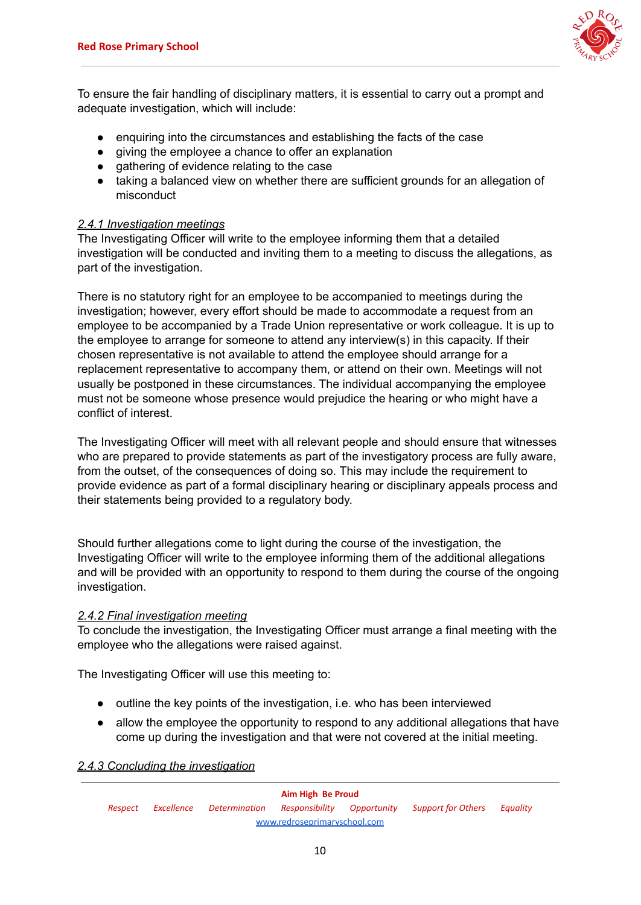

To ensure the fair handling of disciplinary matters, it is essential to carry out a prompt and adequate investigation, which will include:

- enquiring into the circumstances and establishing the facts of the case
- giving the employee a chance to offer an explanation
- gathering of evidence relating to the case
- taking a balanced view on whether there are sufficient grounds for an allegation of misconduct

## *2.4.1 Investigation meetings*

The Investigating Officer will write to the employee informing them that a detailed investigation will be conducted and inviting them to a meeting to discuss the allegations, as part of the investigation.

There is no statutory right for an employee to be accompanied to meetings during the investigation; however, every effort should be made to accommodate a request from an employee to be accompanied by a Trade Union representative or work colleague. It is up to the employee to arrange for someone to attend any interview(s) in this capacity. If their chosen representative is not available to attend the employee should arrange for a replacement representative to accompany them, or attend on their own. Meetings will not usually be postponed in these circumstances. The individual accompanying the employee must not be someone whose presence would prejudice the hearing or who might have a conflict of interest.

The Investigating Officer will meet with all relevant people and should ensure that witnesses who are prepared to provide statements as part of the investigatory process are fully aware, from the outset, of the consequences of doing so. This may include the requirement to provide evidence as part of a formal disciplinary hearing or disciplinary appeals process and their statements being provided to a regulatory body.

Should further allegations come to light during the course of the investigation, the Investigating Officer will write to the employee informing them of the additional allegations and will be provided with an opportunity to respond to them during the course of the ongoing investigation.

## *2.4.2 Final investigation meeting*

To conclude the investigation, the Investigating Officer must arrange a final meeting with the employee who the allegations were raised against.

The Investigating Officer will use this meeting to:

- outline the key points of the investigation, i.e. who has been interviewed
- allow the employee the opportunity to respond to any additional allegations that have come up during the investigation and that were not covered at the initial meeting.

## *2.4.3 Concluding the investigation*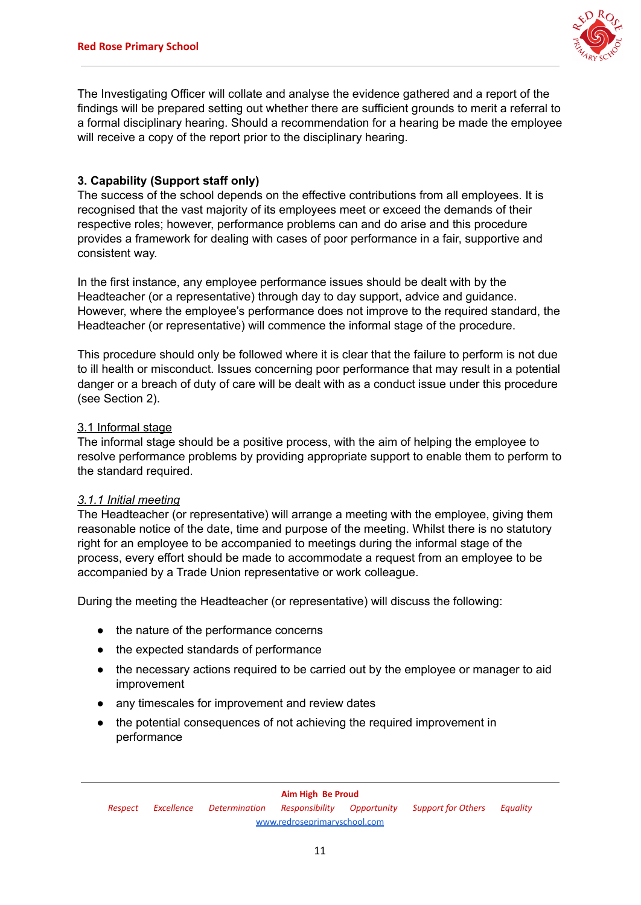

The Investigating Officer will collate and analyse the evidence gathered and a report of the findings will be prepared setting out whether there are sufficient grounds to merit a referral to a formal disciplinary hearing. Should a recommendation for a hearing be made the employee will receive a copy of the report prior to the disciplinary hearing.

## **3. Capability (Support staff only)**

The success of the school depends on the effective contributions from all employees. It is recognised that the vast majority of its employees meet or exceed the demands of their respective roles; however, performance problems can and do arise and this procedure provides a framework for dealing with cases of poor performance in a fair, supportive and consistent way.

In the first instance, any employee performance issues should be dealt with by the Headteacher (or a representative) through day to day support, advice and guidance. However, where the employee's performance does not improve to the required standard, the Headteacher (or representative) will commence the informal stage of the procedure.

This procedure should only be followed where it is clear that the failure to perform is not due to ill health or misconduct. Issues concerning poor performance that may result in a potential danger or a breach of duty of care will be dealt with as a conduct issue under this procedure (see Section 2).

## 3.1 Informal stage

The informal stage should be a positive process, with the aim of helping the employee to resolve performance problems by providing appropriate support to enable them to perform to the standard required.

## *3.1.1 Initial meeting*

The Headteacher (or representative) will arrange a meeting with the employee, giving them reasonable notice of the date, time and purpose of the meeting. Whilst there is no statutory right for an employee to be accompanied to meetings during the informal stage of the process, every effort should be made to accommodate a request from an employee to be accompanied by a Trade Union representative or work colleague.

During the meeting the Headteacher (or representative) will discuss the following:

- the nature of the performance concerns
- the expected standards of performance
- the necessary actions required to be carried out by the employee or manager to aid improvement
- any timescales for improvement and review dates
- the potential consequences of not achieving the required improvement in performance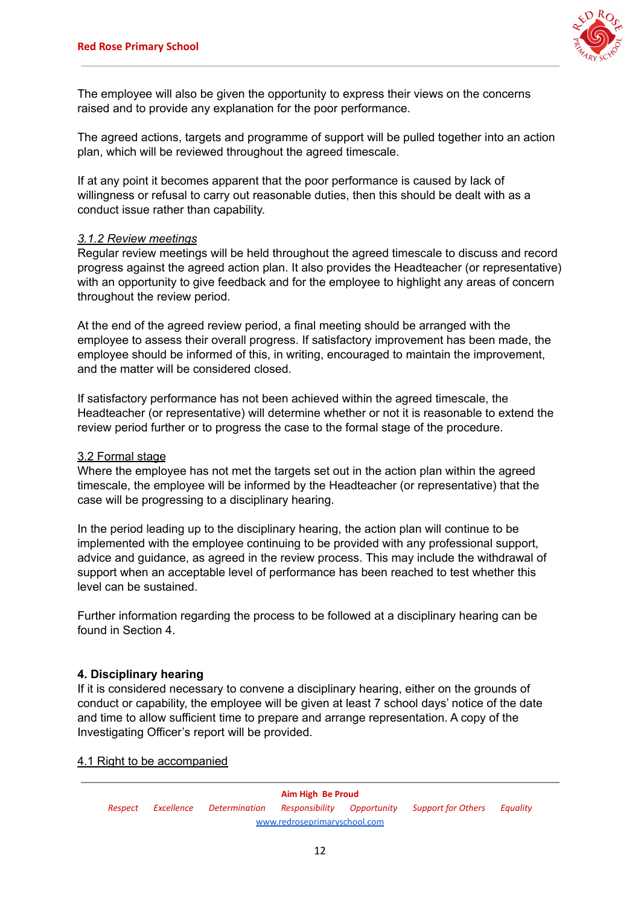

The employee will also be given the opportunity to express their views on the concerns raised and to provide any explanation for the poor performance.

The agreed actions, targets and programme of support will be pulled together into an action plan, which will be reviewed throughout the agreed timescale.

If at any point it becomes apparent that the poor performance is caused by lack of willingness or refusal to carry out reasonable duties, then this should be dealt with as a conduct issue rather than capability.

#### *3.1.2 Review meetings*

Regular review meetings will be held throughout the agreed timescale to discuss and record progress against the agreed action plan. It also provides the Headteacher (or representative) with an opportunity to give feedback and for the employee to highlight any areas of concern throughout the review period.

At the end of the agreed review period, a final meeting should be arranged with the employee to assess their overall progress. If satisfactory improvement has been made, the employee should be informed of this, in writing, encouraged to maintain the improvement, and the matter will be considered closed.

If satisfactory performance has not been achieved within the agreed timescale, the Headteacher (or representative) will determine whether or not it is reasonable to extend the review period further or to progress the case to the formal stage of the procedure.

#### 3.2 Formal stage

Where the employee has not met the targets set out in the action plan within the agreed timescale, the employee will be informed by the Headteacher (or representative) that the case will be progressing to a disciplinary hearing.

In the period leading up to the disciplinary hearing, the action plan will continue to be implemented with the employee continuing to be provided with any professional support, advice and guidance, as agreed in the review process. This may include the withdrawal of support when an acceptable level of performance has been reached to test whether this level can be sustained.

Further information regarding the process to be followed at a disciplinary hearing can be found in Section 4.

## **4. Disciplinary hearing**

If it is considered necessary to convene a disciplinary hearing, either on the grounds of conduct or capability, the employee will be given at least 7 school days' notice of the date and time to allow sufficient time to prepare and arrange representation. A copy of the Investigating Officer's report will be provided.

#### 4.1 Right to be accompanied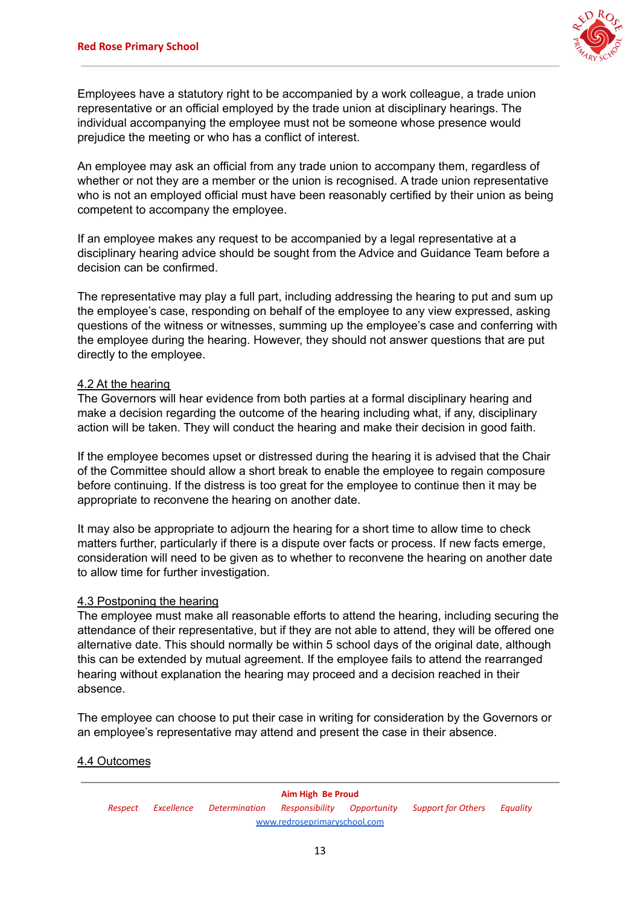

Employees have a statutory right to be accompanied by a work colleague, a trade union representative or an official employed by the trade union at disciplinary hearings. The individual accompanying the employee must not be someone whose presence would prejudice the meeting or who has a conflict of interest.

An employee may ask an official from any trade union to accompany them, regardless of whether or not they are a member or the union is recognised. A trade union representative who is not an employed official must have been reasonably certified by their union as being competent to accompany the employee.

If an employee makes any request to be accompanied by a legal representative at a disciplinary hearing advice should be sought from the Advice and Guidance Team before a decision can be confirmed.

The representative may play a full part, including addressing the hearing to put and sum up the employee's case, responding on behalf of the employee to any view expressed, asking questions of the witness or witnesses, summing up the employee's case and conferring with the employee during the hearing. However, they should not answer questions that are put directly to the employee.

## 4.2 At the hearing

The Governors will hear evidence from both parties at a formal disciplinary hearing and make a decision regarding the outcome of the hearing including what, if any, disciplinary action will be taken. They will conduct the hearing and make their decision in good faith.

If the employee becomes upset or distressed during the hearing it is advised that the Chair of the Committee should allow a short break to enable the employee to regain composure before continuing. If the distress is too great for the employee to continue then it may be appropriate to reconvene the hearing on another date.

It may also be appropriate to adjourn the hearing for a short time to allow time to check matters further, particularly if there is a dispute over facts or process. If new facts emerge, consideration will need to be given as to whether to reconvene the hearing on another date to allow time for further investigation.

## 4.3 Postponing the hearing

The employee must make all reasonable efforts to attend the hearing, including securing the attendance of their representative, but if they are not able to attend, they will be offered one alternative date. This should normally be within 5 school days of the original date, although this can be extended by mutual agreement. If the employee fails to attend the rearranged hearing without explanation the hearing may proceed and a decision reached in their absence.

The employee can choose to put their case in writing for consideration by the Governors or an employee's representative may attend and present the case in their absence.

## 4.4 Outcomes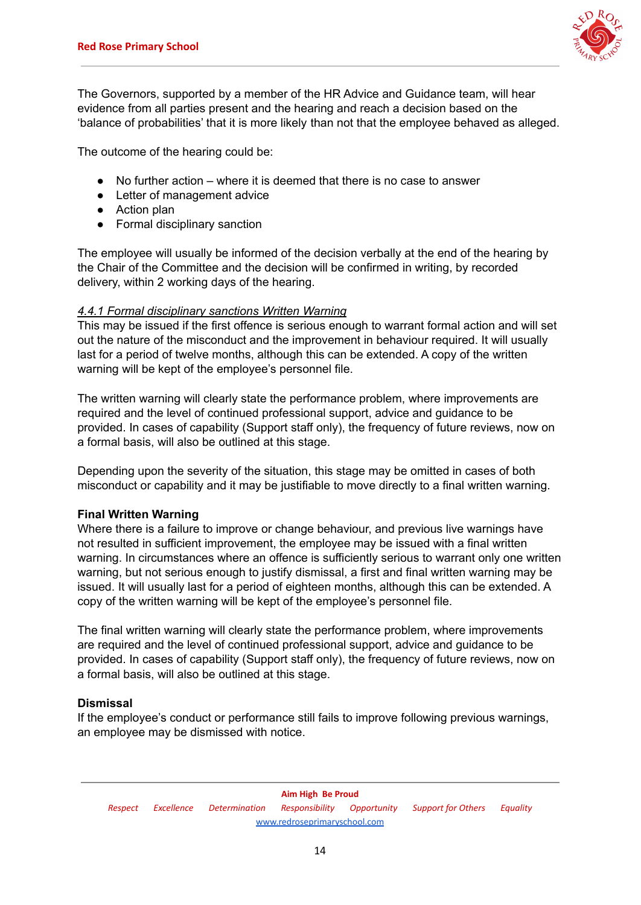

The Governors, supported by a member of the HR Advice and Guidance team, will hear evidence from all parties present and the hearing and reach a decision based on the 'balance of probabilities' that it is more likely than not that the employee behaved as alleged.

The outcome of the hearing could be:

- No further action where it is deemed that there is no case to answer
- Letter of management advice
- Action plan
- Formal disciplinary sanction

The employee will usually be informed of the decision verbally at the end of the hearing by the Chair of the Committee and the decision will be confirmed in writing, by recorded delivery, within 2 working days of the hearing.

## *4.4.1 Formal disciplinary sanctions Written Warning*

This may be issued if the first offence is serious enough to warrant formal action and will set out the nature of the misconduct and the improvement in behaviour required. It will usually last for a period of twelve months, although this can be extended. A copy of the written warning will be kept of the employee's personnel file.

The written warning will clearly state the performance problem, where improvements are required and the level of continued professional support, advice and guidance to be provided. In cases of capability (Support staff only), the frequency of future reviews, now on a formal basis, will also be outlined at this stage.

Depending upon the severity of the situation, this stage may be omitted in cases of both misconduct or capability and it may be justifiable to move directly to a final written warning.

## **Final Written Warning**

Where there is a failure to improve or change behaviour, and previous live warnings have not resulted in sufficient improvement, the employee may be issued with a final written warning. In circumstances where an offence is sufficiently serious to warrant only one written warning, but not serious enough to justify dismissal, a first and final written warning may be issued. It will usually last for a period of eighteen months, although this can be extended. A copy of the written warning will be kept of the employee's personnel file.

The final written warning will clearly state the performance problem, where improvements are required and the level of continued professional support, advice and guidance to be provided. In cases of capability (Support staff only), the frequency of future reviews, now on a formal basis, will also be outlined at this stage.

# **Dismissal**

If the employee's conduct or performance still fails to improve following previous warnings, an employee may be dismissed with notice.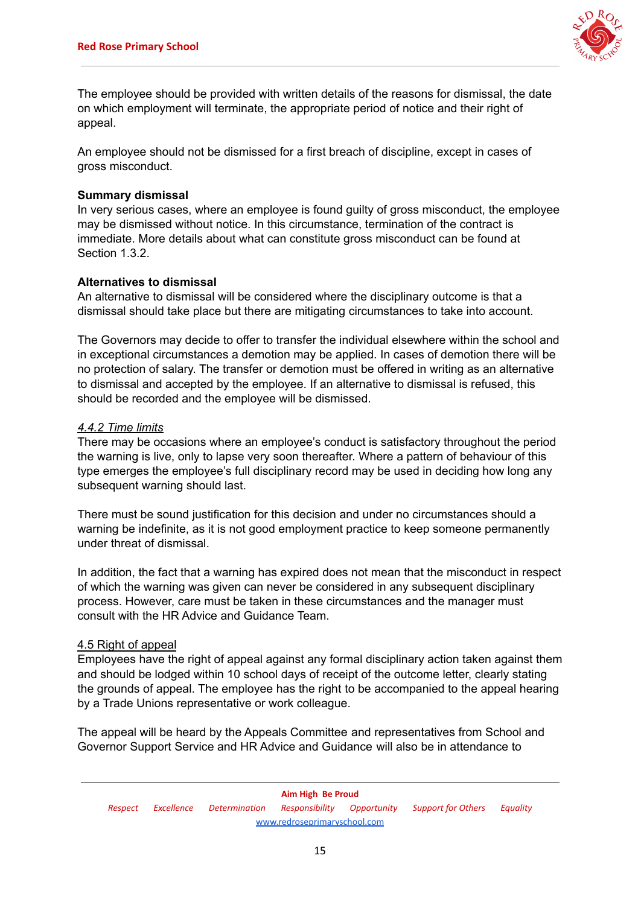

The employee should be provided with written details of the reasons for dismissal, the date on which employment will terminate, the appropriate period of notice and their right of appeal.

An employee should not be dismissed for a first breach of discipline, except in cases of gross misconduct.

#### **Summary dismissal**

In very serious cases, where an employee is found guilty of gross misconduct, the employee may be dismissed without notice. In this circumstance, termination of the contract is immediate. More details about what can constitute gross misconduct can be found at Section 1.3.2.

## **Alternatives to dismissal**

An alternative to dismissal will be considered where the disciplinary outcome is that a dismissal should take place but there are mitigating circumstances to take into account.

The Governors may decide to offer to transfer the individual elsewhere within the school and in exceptional circumstances a demotion may be applied. In cases of demotion there will be no protection of salary. The transfer or demotion must be offered in writing as an alternative to dismissal and accepted by the employee. If an alternative to dismissal is refused, this should be recorded and the employee will be dismissed.

## *4.4.2 Time limits*

There may be occasions where an employee's conduct is satisfactory throughout the period the warning is live, only to lapse very soon thereafter. Where a pattern of behaviour of this type emerges the employee's full disciplinary record may be used in deciding how long any subsequent warning should last.

There must be sound justification for this decision and under no circumstances should a warning be indefinite, as it is not good employment practice to keep someone permanently under threat of dismissal.

In addition, the fact that a warning has expired does not mean that the misconduct in respect of which the warning was given can never be considered in any subsequent disciplinary process. However, care must be taken in these circumstances and the manager must consult with the HR Advice and Guidance Team.

## 4.5 Right of appeal

Employees have the right of appeal against any formal disciplinary action taken against them and should be lodged within 10 school days of receipt of the outcome letter, clearly stating the grounds of appeal. The employee has the right to be accompanied to the appeal hearing by a Trade Unions representative or work colleague.

The appeal will be heard by the Appeals Committee and representatives from School and Governor Support Service and HR Advice and Guidance will also be in attendance to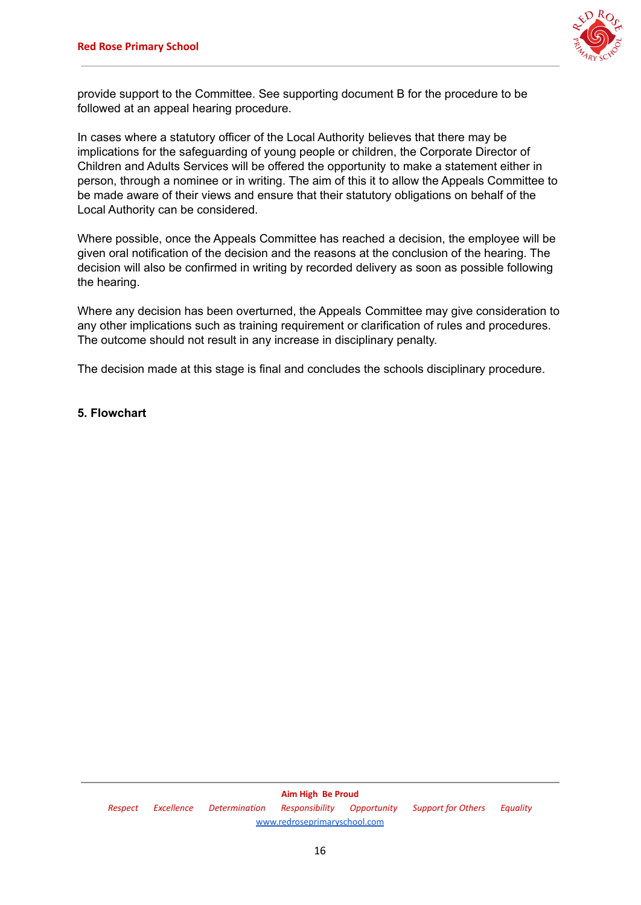

provide support to the Committee. See supporting document B for the procedure to be followed at an appeal hearing procedure.

In cases where a statutory officer of the Local Authority believes that there may be implications for the safeguarding of young people or children, the Corporate Director of Children and Adults Services will be offered the opportunity to make a statement either in person, through a nominee or in writing. The aim of this it to allow the Appeals Committee to be made aware of their views and ensure that their statutory obligations on behalf of the Local Authority can be considered.

Where possible, once the Appeals Committee has reached a decision, the employee will be given oral notification of the decision and the reasons at the conclusion of the hearing. The decision will also be confirmed in writing by recorded delivery as soon as possible following the hearing.

Where any decision has been overturned, the Appeals Committee may give consideration to any other implications such as training requirement or clarification of rules and procedures. The outcome should not result in any increase in disciplinary penalty.

The decision made at this stage is final and concludes the schools disciplinary procedure.

## **5. Flowchart**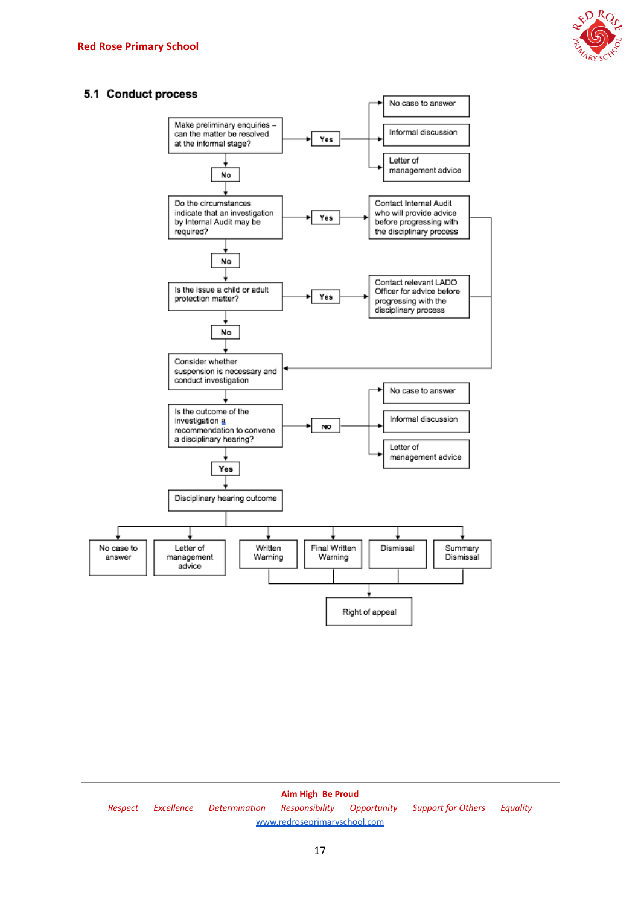

#### 5.1 Conduct process



**Aim High Be Proud** *Respect Excellence Determination Responsibility Opportunity Support for Others Equality* [www.redroseprimaryschool.com](http://www.redroseprimaryschool.com)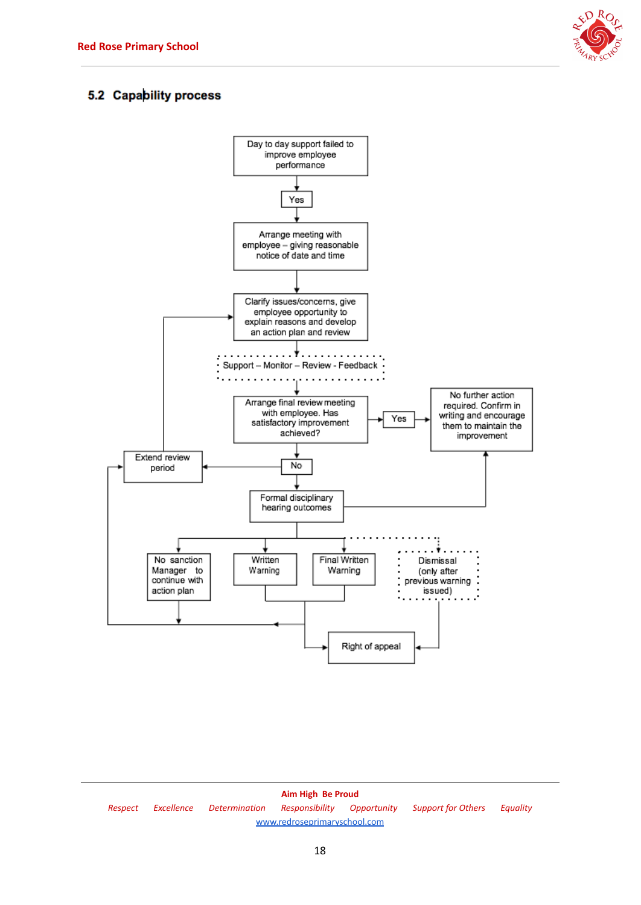

# 5.2 Capability process



**Aim High Be Proud** *Respect Excellence Determination Responsibility Opportunity Support for Others Equality* [www.redroseprimaryschool.com](http://www.redroseprimaryschool.com)